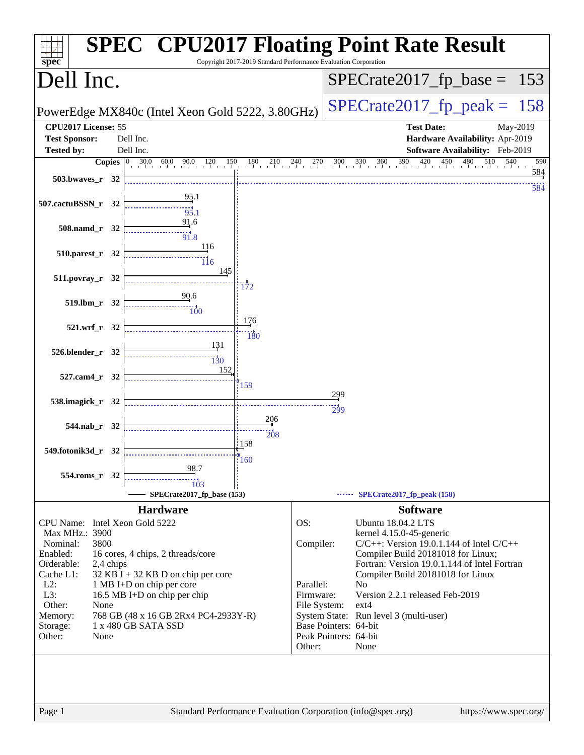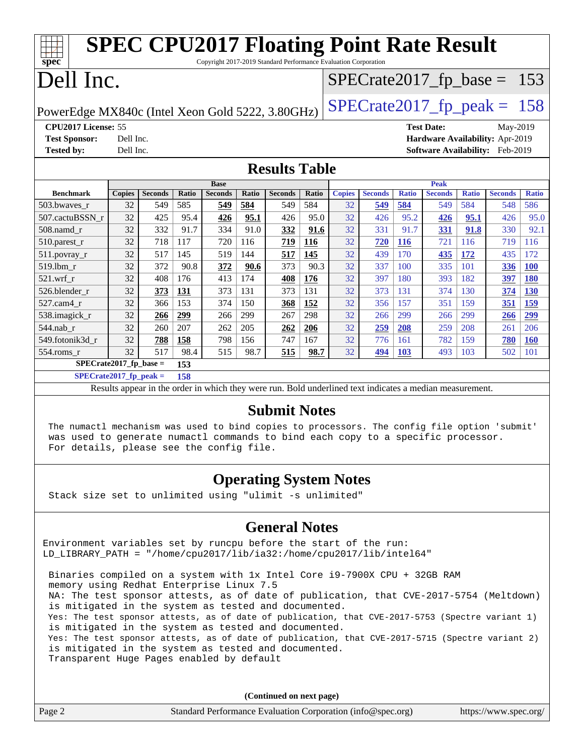|                                                                                   |                                 |                |       | <b>SPEC CPU2017 Floating Point Rate Result</b>                  |       |                |       |               |                |              |                                 |              |                |              |
|-----------------------------------------------------------------------------------|---------------------------------|----------------|-------|-----------------------------------------------------------------|-------|----------------|-------|---------------|----------------|--------------|---------------------------------|--------------|----------------|--------------|
| spec <sup>®</sup>                                                                 |                                 |                |       | Copyright 2017-2019 Standard Performance Evaluation Corporation |       |                |       |               |                |              |                                 |              |                |              |
| Dell Inc.<br>$SPECTate2017_fp\_base = 153$                                        |                                 |                |       |                                                                 |       |                |       |               |                |              |                                 |              |                |              |
| $SPECTate2017$ _fp_peak = 158<br>PowerEdge MX840c (Intel Xeon Gold 5222, 3.80GHz) |                                 |                |       |                                                                 |       |                |       |               |                |              |                                 |              |                |              |
| CPU2017 License: 55<br><b>Test Date:</b><br>May-2019                              |                                 |                |       |                                                                 |       |                |       |               |                |              |                                 |              |                |              |
| <b>Test Sponsor:</b>                                                              | Dell Inc.                       |                |       |                                                                 |       |                |       |               |                |              | Hardware Availability: Apr-2019 |              |                |              |
| <b>Tested by:</b>                                                                 | Dell Inc.                       |                |       |                                                                 |       |                |       |               |                |              | Software Availability: Feb-2019 |              |                |              |
| <b>Results Table</b>                                                              |                                 |                |       |                                                                 |       |                |       |               |                |              |                                 |              |                |              |
|                                                                                   |                                 |                |       | <b>Base</b>                                                     |       |                |       |               |                |              | Peak                            |              |                |              |
| <b>Benchmark</b>                                                                  | <b>Copies</b>                   | <b>Seconds</b> | Ratio | <b>Seconds</b>                                                  | Ratio | <b>Seconds</b> | Ratio | <b>Copies</b> | <b>Seconds</b> | <b>Ratio</b> | <b>Seconds</b>                  | <b>Ratio</b> | <b>Seconds</b> | <b>Ratio</b> |
| 503.bwaves_r                                                                      | 32                              | 549            | 585   | 549                                                             | 584   | 549            | 584   | 32            | 549            | 584          | 549                             | 584          | 548            | 586          |
| 507.cactuBSSN r                                                                   | 32                              | 425            | 95.4  | 426                                                             | 95.1  | 426            | 95.0  | 32            | 426            | 95.2         | 426                             | 95.1         | 426            | 95.0         |
| 508.namd r                                                                        | 32                              | 332            | 91.7  | 334                                                             | 91.0  | 332            | 91.6  | 32            | 331            | 91.7         | 331                             | 91.8         | 330            | 92.1         |
| $510.parest_r$                                                                    | 32                              | 718            | 117   | 720                                                             | 116   | 719            | 116   | 32            | 720            | <b>116</b>   | 721                             | 116          | 719            | 116          |
| 511.povray_r                                                                      | 32                              | 517            | 145   | 519                                                             | 144   | 517            | 145   | 32            | 439            | 170          | 435                             | 172          | 435            | 172          |
| 519.lbm r                                                                         | 32                              | 372            | 90.8  | 372                                                             | 90.6  | 373            | 90.3  | 32            | 337            | 100          | 335                             | 101          | 336            | <b>100</b>   |
| $521$ .wrf r                                                                      | 32                              | 408            | 176   | 413                                                             | 174   | 408            | 176   | 32            | 397            | 180          | 393                             | 182          | 397            | <b>180</b>   |
| 526.blender r                                                                     | 32                              | 373            | 131   | 373                                                             | 131   | 373            | 131   | 32            | 373            | 131          | 374                             | 130          | 374            | <b>130</b>   |
| 527.cam4 r                                                                        | 32                              | 366            | 153   | 374                                                             | 150   | 368            | 152   | 32            | 356            | 157          | 351                             | 159          | 351            | 159          |
| 538.imagick_r                                                                     | 32                              | 266            | 299   | 266                                                             | 299   | 267            | 298   | 32            | 266            | 299          | 266                             | 299          | 266            | 299          |
| 544.nab r                                                                         | 32                              | 260            | 207   | 262                                                             | 205   | 262            | 206   | 32            | 259            | 208          | 259                             | 208          | 261            | 206          |
| 549.fotonik3d_r                                                                   | 32                              | 788            | 158   | 798                                                             | 156   | 747            | 167   | 32            | 776            | 161          | 782                             | 159          | 780            | <b>160</b>   |
| 554.roms_r                                                                        | 32                              | 517            | 98.4  | 515                                                             | 98.7  | 515            | 98.7  | 32            | 494            | <b>103</b>   | 493                             | 103          | 502            | 101          |
|                                                                                   | SPECrate2017 fp base $=$<br>153 |                |       |                                                                 |       |                |       |               |                |              |                                 |              |                |              |

**[SPECrate2017\\_fp\\_peak =](http://www.spec.org/auto/cpu2017/Docs/result-fields.html#SPECrate2017fppeak) 158**

Results appear in the [order in which they were run.](http://www.spec.org/auto/cpu2017/Docs/result-fields.html#RunOrder) Bold underlined text [indicates a median measurement.](http://www.spec.org/auto/cpu2017/Docs/result-fields.html#Median)

#### **[Submit Notes](http://www.spec.org/auto/cpu2017/Docs/result-fields.html#SubmitNotes)**

 The numactl mechanism was used to bind copies to processors. The config file option 'submit' was used to generate numactl commands to bind each copy to a specific processor. For details, please see the config file.

### **[Operating System Notes](http://www.spec.org/auto/cpu2017/Docs/result-fields.html#OperatingSystemNotes)**

Stack size set to unlimited using "ulimit -s unlimited"

### **[General Notes](http://www.spec.org/auto/cpu2017/Docs/result-fields.html#GeneralNotes)**

Environment variables set by runcpu before the start of the run: LD\_LIBRARY\_PATH = "/home/cpu2017/lib/ia32:/home/cpu2017/lib/intel64"

 Binaries compiled on a system with 1x Intel Core i9-7900X CPU + 32GB RAM memory using Redhat Enterprise Linux 7.5 NA: The test sponsor attests, as of date of publication, that CVE-2017-5754 (Meltdown) is mitigated in the system as tested and documented. Yes: The test sponsor attests, as of date of publication, that CVE-2017-5753 (Spectre variant 1) is mitigated in the system as tested and documented. Yes: The test sponsor attests, as of date of publication, that CVE-2017-5715 (Spectre variant 2) is mitigated in the system as tested and documented. Transparent Huge Pages enabled by default

|        | (Continued on next page)                                    |                       |
|--------|-------------------------------------------------------------|-----------------------|
| Page 2 | Standard Performance Evaluation Corporation (info@spec.org) | https://www.spec.org/ |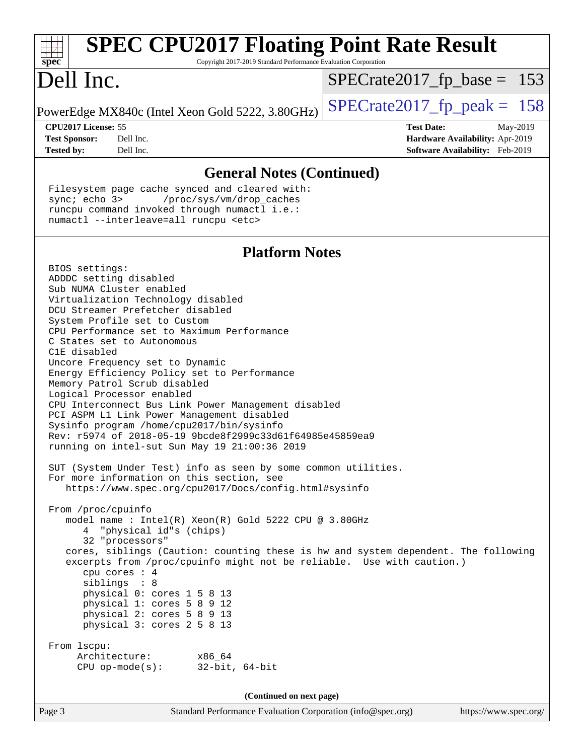| <b>SPEC CPU2017 Floating Point Rate Result</b>                                                                                                                                                                                                                                                                                                                                                                                                                                                                                                                                                                                                                                                                                                                                                                                                                                                                                                                                                                                                                                                                                                                                                                                                                                                                                                                                                                                             |                                                                           |
|--------------------------------------------------------------------------------------------------------------------------------------------------------------------------------------------------------------------------------------------------------------------------------------------------------------------------------------------------------------------------------------------------------------------------------------------------------------------------------------------------------------------------------------------------------------------------------------------------------------------------------------------------------------------------------------------------------------------------------------------------------------------------------------------------------------------------------------------------------------------------------------------------------------------------------------------------------------------------------------------------------------------------------------------------------------------------------------------------------------------------------------------------------------------------------------------------------------------------------------------------------------------------------------------------------------------------------------------------------------------------------------------------------------------------------------------|---------------------------------------------------------------------------|
| Copyright 2017-2019 Standard Performance Evaluation Corporation<br>spec                                                                                                                                                                                                                                                                                                                                                                                                                                                                                                                                                                                                                                                                                                                                                                                                                                                                                                                                                                                                                                                                                                                                                                                                                                                                                                                                                                    |                                                                           |
| Dell Inc.                                                                                                                                                                                                                                                                                                                                                                                                                                                                                                                                                                                                                                                                                                                                                                                                                                                                                                                                                                                                                                                                                                                                                                                                                                                                                                                                                                                                                                  | $SPECrate2017_fp\_base = 153$                                             |
| PowerEdge MX840c (Intel Xeon Gold 5222, 3.80GHz)                                                                                                                                                                                                                                                                                                                                                                                                                                                                                                                                                                                                                                                                                                                                                                                                                                                                                                                                                                                                                                                                                                                                                                                                                                                                                                                                                                                           | $SPECrate2017_fp\_peak = 158$                                             |
| CPU2017 License: 55                                                                                                                                                                                                                                                                                                                                                                                                                                                                                                                                                                                                                                                                                                                                                                                                                                                                                                                                                                                                                                                                                                                                                                                                                                                                                                                                                                                                                        | <b>Test Date:</b><br>May-2019                                             |
| <b>Test Sponsor:</b><br>Dell Inc.<br><b>Tested by:</b><br>Dell Inc.                                                                                                                                                                                                                                                                                                                                                                                                                                                                                                                                                                                                                                                                                                                                                                                                                                                                                                                                                                                                                                                                                                                                                                                                                                                                                                                                                                        | Hardware Availability: Apr-2019<br><b>Software Availability:</b> Feb-2019 |
| <b>General Notes (Continued)</b>                                                                                                                                                                                                                                                                                                                                                                                                                                                                                                                                                                                                                                                                                                                                                                                                                                                                                                                                                                                                                                                                                                                                                                                                                                                                                                                                                                                                           |                                                                           |
| Filesystem page cache synced and cleared with:<br>sync $i$ echo $3$<br>/proc/sys/vm/drop_caches<br>runcpu command invoked through numactl i.e.:<br>numactl --interleave=all runcpu <etc></etc>                                                                                                                                                                                                                                                                                                                                                                                                                                                                                                                                                                                                                                                                                                                                                                                                                                                                                                                                                                                                                                                                                                                                                                                                                                             |                                                                           |
| <b>Platform Notes</b>                                                                                                                                                                                                                                                                                                                                                                                                                                                                                                                                                                                                                                                                                                                                                                                                                                                                                                                                                                                                                                                                                                                                                                                                                                                                                                                                                                                                                      |                                                                           |
| BIOS settings:<br>ADDDC setting disabled<br>Sub NUMA Cluster enabled<br>Virtualization Technology disabled<br>DCU Streamer Prefetcher disabled<br>System Profile set to Custom<br>CPU Performance set to Maximum Performance<br>C States set to Autonomous<br>C1E disabled<br>Uncore Frequency set to Dynamic<br>Energy Efficiency Policy set to Performance<br>Memory Patrol Scrub disabled<br>Logical Processor enabled<br>CPU Interconnect Bus Link Power Management disabled<br>PCI ASPM L1 Link Power Management disabled<br>Sysinfo program /home/cpu2017/bin/sysinfo<br>Rev: r5974 of 2018-05-19 9bcde8f2999c33d61f64985e45859ea9<br>running on intel-sut Sun May 19 21:00:36 2019<br>SUT (System Under Test) info as seen by some common utilities.<br>For more information on this section, see<br>https://www.spec.org/cpu2017/Docs/config.html#sysinfo<br>From /proc/cpuinfo<br>model name : Intel(R) Xeon(R) Gold 5222 CPU @ 3.80GHz<br>4 "physical id"s (chips)<br>32 "processors"<br>cores, siblings (Caution: counting these is hw and system dependent. The following<br>excerpts from /proc/cpuinfo might not be reliable. Use with caution.)<br>cpu cores : 4<br>siblings : 8<br>physical 0: cores 1 5 8 13<br>physical 1: cores 5 8 9 12<br>physical 2: cores 5 8 9 13<br>physical 3: cores 2 5 8 13<br>From lscpu:<br>Architecture:<br>x86 64<br>$CPU$ op-mode(s):<br>$32$ -bit, $64$ -bit<br>(Continued on next page) |                                                                           |
|                                                                                                                                                                                                                                                                                                                                                                                                                                                                                                                                                                                                                                                                                                                                                                                                                                                                                                                                                                                                                                                                                                                                                                                                                                                                                                                                                                                                                                            |                                                                           |
| Standard Performance Evaluation Corporation (info@spec.org)<br>Page 3                                                                                                                                                                                                                                                                                                                                                                                                                                                                                                                                                                                                                                                                                                                                                                                                                                                                                                                                                                                                                                                                                                                                                                                                                                                                                                                                                                      | https://www.spec.org/                                                     |
|                                                                                                                                                                                                                                                                                                                                                                                                                                                                                                                                                                                                                                                                                                                                                                                                                                                                                                                                                                                                                                                                                                                                                                                                                                                                                                                                                                                                                                            |                                                                           |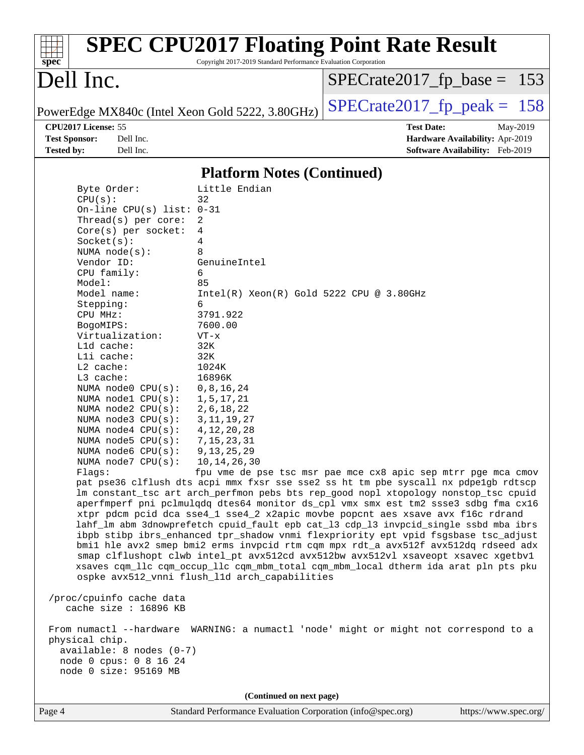|                                                                                      | <b>SPEC CPU2017 Floating Point Rate Result</b>                                                                                                                         |                                                               |                                 |
|--------------------------------------------------------------------------------------|------------------------------------------------------------------------------------------------------------------------------------------------------------------------|---------------------------------------------------------------|---------------------------------|
| $spec^*$                                                                             | Copyright 2017-2019 Standard Performance Evaluation Corporation                                                                                                        |                                                               |                                 |
| Dell Inc.                                                                            |                                                                                                                                                                        | $SPECrate2017_fp\_base = 153$                                 |                                 |
| PowerEdge MX840c (Intel Xeon Gold 5222, 3.80GHz)                                     |                                                                                                                                                                        | $SPECrate2017_fp\_peak = 158$                                 |                                 |
| CPU2017 License: 55                                                                  |                                                                                                                                                                        | <b>Test Date:</b>                                             | May-2019                        |
| <b>Test Sponsor:</b><br>Dell Inc.                                                    |                                                                                                                                                                        |                                                               | Hardware Availability: Apr-2019 |
| <b>Tested by:</b><br>Dell Inc.                                                       |                                                                                                                                                                        |                                                               | Software Availability: Feb-2019 |
|                                                                                      | <b>Platform Notes (Continued)</b>                                                                                                                                      |                                                               |                                 |
| Byte Order:                                                                          | Little Endian                                                                                                                                                          |                                                               |                                 |
| CPU(s):                                                                              | 32                                                                                                                                                                     |                                                               |                                 |
| On-line CPU(s) list: $0-31$                                                          |                                                                                                                                                                        |                                                               |                                 |
| Thread( $s$ ) per core:                                                              | 2                                                                                                                                                                      |                                                               |                                 |
| $Core(s)$ per socket:<br>Socket(s):                                                  | 4<br>4                                                                                                                                                                 |                                                               |                                 |
| NUMA $node(s)$ :                                                                     | 8                                                                                                                                                                      |                                                               |                                 |
| Vendor ID:                                                                           | GenuineIntel                                                                                                                                                           |                                                               |                                 |
| CPU family:                                                                          | 6                                                                                                                                                                      |                                                               |                                 |
| Model:<br>Model name:                                                                | 85<br>$Intel(R) Xeon(R) Gold 5222 CPU @ 3.80GHz$                                                                                                                       |                                                               |                                 |
| Stepping:                                                                            | 6                                                                                                                                                                      |                                                               |                                 |
| CPU MHz:                                                                             | 3791.922                                                                                                                                                               |                                                               |                                 |
| BogoMIPS:                                                                            | 7600.00                                                                                                                                                                |                                                               |                                 |
| Virtualization:                                                                      | $VT - x$                                                                                                                                                               |                                                               |                                 |
| L1d cache:<br>Lli cache:                                                             | 32K<br>32K                                                                                                                                                             |                                                               |                                 |
| L2 cache:                                                                            | 1024K                                                                                                                                                                  |                                                               |                                 |
| L3 cache:                                                                            | 16896K                                                                                                                                                                 |                                                               |                                 |
| NUMA node0 CPU(s):                                                                   | 0, 8, 16, 24                                                                                                                                                           |                                                               |                                 |
| NUMA $node1$ $CPU(s):$<br>NUMA node2 CPU(s):                                         | 1,5,17,21                                                                                                                                                              |                                                               |                                 |
| NUMA $node3$ $CPU(s):$                                                               | 2, 6, 18, 22<br>3, 11, 19, 27                                                                                                                                          |                                                               |                                 |
| NUMA node4 CPU(s):                                                                   | 4, 12, 20, 28                                                                                                                                                          |                                                               |                                 |
| NUMA node5 CPU(s):                                                                   | 7, 15, 23, 31                                                                                                                                                          |                                                               |                                 |
| NUMA node6 CPU(s):                                                                   | 9, 13, 25, 29                                                                                                                                                          |                                                               |                                 |
| NUMA node7 CPU(s): 10,14,26,30<br>Flagg:                                             |                                                                                                                                                                        | fpu vme de pse tsc msr pae mce cx8 apic sep mtrr pge mca cmov |                                 |
|                                                                                      | pat pse36 clflush dts acpi mmx fxsr sse sse2 ss ht tm pbe syscall nx pdpe1qb rdtscp                                                                                    |                                                               |                                 |
|                                                                                      | lm constant_tsc art arch_perfmon pebs bts rep_good nopl xtopology nonstop_tsc cpuid                                                                                    |                                                               |                                 |
|                                                                                      | aperfmperf pni pclmulqdq dtes64 monitor ds_cpl vmx smx est tm2 ssse3 sdbg fma cx16                                                                                     |                                                               |                                 |
|                                                                                      | xtpr pdcm pcid dca sse4_1 sse4_2 x2apic movbe popcnt aes xsave avx f16c rdrand<br>lahf_lm abm 3dnowprefetch cpuid_fault epb cat_13 cdp_13 invpcid_single ssbd mba ibrs |                                                               |                                 |
|                                                                                      | ibpb stibp ibrs_enhanced tpr_shadow vnmi flexpriority ept vpid fsgsbase tsc_adjust                                                                                     |                                                               |                                 |
|                                                                                      | bmil hle avx2 smep bmi2 erms invpcid rtm cqm mpx rdt_a avx512f avx512dq rdseed adx                                                                                     |                                                               |                                 |
|                                                                                      | smap clflushopt clwb intel_pt avx512cd avx512bw avx512vl xsaveopt xsavec xgetbvl                                                                                       |                                                               |                                 |
|                                                                                      | xsaves cqm_llc cqm_occup_llc cqm_mbm_total cqm_mbm_local dtherm ida arat pln pts pku<br>ospke avx512_vnni flush_l1d arch_capabilities                                  |                                                               |                                 |
|                                                                                      |                                                                                                                                                                        |                                                               |                                 |
| /proc/cpuinfo cache data<br>cache size : 16896 KB                                    |                                                                                                                                                                        |                                                               |                                 |
| From numactl --hardware WARNING: a numactl 'node' might or might not correspond to a |                                                                                                                                                                        |                                                               |                                 |
| physical chip.<br>$available: 8 nodes (0-7)$                                         |                                                                                                                                                                        |                                                               |                                 |
| node 0 cpus: 0 8 16 24                                                               |                                                                                                                                                                        |                                                               |                                 |
| node 0 size: 95169 MB                                                                |                                                                                                                                                                        |                                                               |                                 |
|                                                                                      | (Continued on next page)                                                                                                                                               |                                                               |                                 |
| Page 4                                                                               | Standard Performance Evaluation Corporation (info@spec.org)                                                                                                            |                                                               | https://www.spec.org/           |
|                                                                                      |                                                                                                                                                                        |                                                               |                                 |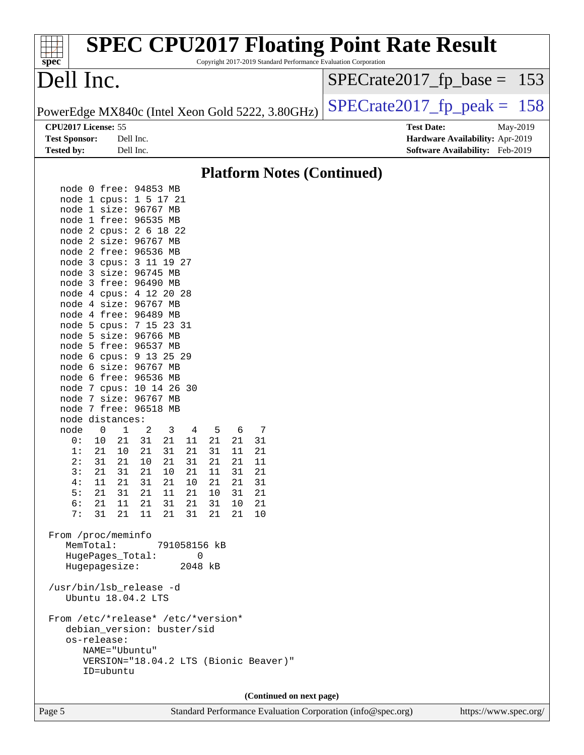| Dell Inc.<br>$SPECrate2017_fp\_base = 153$<br>$SPECrate2017_fp\_peak = 158$<br>PowerEdge MX840c (Intel Xeon Gold 5222, 3.80GHz)<br>CPU2017 License: 55<br><b>Test Date:</b><br>May-2019<br><b>Test Sponsor:</b><br>Dell Inc.<br>Hardware Availability: Apr-2019<br><b>Tested by:</b><br>Dell Inc.<br>Software Availability: Feb-2019<br><b>Platform Notes (Continued)</b><br>node 0 free: 94853 MB<br>node 1 cpus: 1 5 17 21<br>node 1 size: 96767 MB<br>node 1 free: 96535 MB<br>node 2 cpus: 2 6 18 22<br>node 2 size: 96767 MB<br>node 2 free: 96536 MB<br>node 3 cpus: 3 11 19 27<br>node 3 size: 96745 MB<br>node 3 free: 96490 MB<br>node 4 cpus: 4 12 20 28<br>node 4 size: 96767 MB<br>node 4 free: 96489 MB<br>node 5 cpus: 7 15 23 31<br>node 5 size: 96766 MB<br>node 5 free: 96537 MB<br>node 6 cpus: 9 13 25 29<br>node 6 size: 96767 MB<br>node 6 free: 96536 MB<br>node 7 cpus: 10 14 26 30<br>node 7 size: 96767 MB<br>node 7 free: 96518 MB<br>node distances:<br>$\mathbf{1}$<br>2<br>node<br>0<br>3<br>5<br>6<br>7<br>4<br>10<br>21<br>31<br>21<br>21<br>21<br>31<br>0 :<br>11<br>1:<br>21<br>10<br>21<br>31<br>21<br>31<br>21<br>11<br>2:<br>31<br>21<br>10<br>21<br>31<br>21<br>21<br>11<br>3:<br>21<br>31<br>21<br>31<br>21<br>10<br>21<br>11<br>4:<br>11<br>21<br>31<br>21<br>10<br>21<br>21<br>31<br>5:<br>21<br>31<br>21 11<br>21<br>10 31<br>21<br>6:<br>21<br>31<br>21<br>11<br>31<br>21<br>10<br>-21<br>11<br>21<br>7:<br>31<br>21<br>31<br>21<br>21<br>10<br>From /proc/meminfo<br>MemTotal:<br>791058156 kB<br>HugePages_Total:<br>0<br>Hugepagesize:<br>2048 kB<br>/usr/bin/lsb_release -d<br>Ubuntu 18.04.2 LTS<br>From /etc/*release* /etc/*version*<br>debian_version: buster/sid<br>os-release:<br>NAME="Ubuntu"<br>VERSION="18.04.2 LTS (Bionic Beaver)"<br>ID=ubuntu<br>(Continued on next page)<br>$C_{\alpha}$ <b>C</b> <sub>a</sub> $\alpha$ | spec <sup>®</sup> | <b>SPEC CPU2017 Floating Point Rate Result</b> | Copyright 2017-2019 Standard Performance Evaluation Corporation |  |  |
|--------------------------------------------------------------------------------------------------------------------------------------------------------------------------------------------------------------------------------------------------------------------------------------------------------------------------------------------------------------------------------------------------------------------------------------------------------------------------------------------------------------------------------------------------------------------------------------------------------------------------------------------------------------------------------------------------------------------------------------------------------------------------------------------------------------------------------------------------------------------------------------------------------------------------------------------------------------------------------------------------------------------------------------------------------------------------------------------------------------------------------------------------------------------------------------------------------------------------------------------------------------------------------------------------------------------------------------------------------------------------------------------------------------------------------------------------------------------------------------------------------------------------------------------------------------------------------------------------------------------------------------------------------------------------------------------------------------------------------------------------------------------------------------------------------------------------------------------------------------------------------------|-------------------|------------------------------------------------|-----------------------------------------------------------------|--|--|
|                                                                                                                                                                                                                                                                                                                                                                                                                                                                                                                                                                                                                                                                                                                                                                                                                                                                                                                                                                                                                                                                                                                                                                                                                                                                                                                                                                                                                                                                                                                                                                                                                                                                                                                                                                                                                                                                                      |                   |                                                |                                                                 |  |  |
|                                                                                                                                                                                                                                                                                                                                                                                                                                                                                                                                                                                                                                                                                                                                                                                                                                                                                                                                                                                                                                                                                                                                                                                                                                                                                                                                                                                                                                                                                                                                                                                                                                                                                                                                                                                                                                                                                      |                   |                                                |                                                                 |  |  |
|                                                                                                                                                                                                                                                                                                                                                                                                                                                                                                                                                                                                                                                                                                                                                                                                                                                                                                                                                                                                                                                                                                                                                                                                                                                                                                                                                                                                                                                                                                                                                                                                                                                                                                                                                                                                                                                                                      |                   |                                                |                                                                 |  |  |
|                                                                                                                                                                                                                                                                                                                                                                                                                                                                                                                                                                                                                                                                                                                                                                                                                                                                                                                                                                                                                                                                                                                                                                                                                                                                                                                                                                                                                                                                                                                                                                                                                                                                                                                                                                                                                                                                                      |                   |                                                |                                                                 |  |  |
|                                                                                                                                                                                                                                                                                                                                                                                                                                                                                                                                                                                                                                                                                                                                                                                                                                                                                                                                                                                                                                                                                                                                                                                                                                                                                                                                                                                                                                                                                                                                                                                                                                                                                                                                                                                                                                                                                      |                   |                                                |                                                                 |  |  |
|                                                                                                                                                                                                                                                                                                                                                                                                                                                                                                                                                                                                                                                                                                                                                                                                                                                                                                                                                                                                                                                                                                                                                                                                                                                                                                                                                                                                                                                                                                                                                                                                                                                                                                                                                                                                                                                                                      |                   |                                                |                                                                 |  |  |
|                                                                                                                                                                                                                                                                                                                                                                                                                                                                                                                                                                                                                                                                                                                                                                                                                                                                                                                                                                                                                                                                                                                                                                                                                                                                                                                                                                                                                                                                                                                                                                                                                                                                                                                                                                                                                                                                                      |                   |                                                |                                                                 |  |  |
|                                                                                                                                                                                                                                                                                                                                                                                                                                                                                                                                                                                                                                                                                                                                                                                                                                                                                                                                                                                                                                                                                                                                                                                                                                                                                                                                                                                                                                                                                                                                                                                                                                                                                                                                                                                                                                                                                      |                   |                                                |                                                                 |  |  |
|                                                                                                                                                                                                                                                                                                                                                                                                                                                                                                                                                                                                                                                                                                                                                                                                                                                                                                                                                                                                                                                                                                                                                                                                                                                                                                                                                                                                                                                                                                                                                                                                                                                                                                                                                                                                                                                                                      |                   |                                                |                                                                 |  |  |
|                                                                                                                                                                                                                                                                                                                                                                                                                                                                                                                                                                                                                                                                                                                                                                                                                                                                                                                                                                                                                                                                                                                                                                                                                                                                                                                                                                                                                                                                                                                                                                                                                                                                                                                                                                                                                                                                                      |                   |                                                |                                                                 |  |  |
|                                                                                                                                                                                                                                                                                                                                                                                                                                                                                                                                                                                                                                                                                                                                                                                                                                                                                                                                                                                                                                                                                                                                                                                                                                                                                                                                                                                                                                                                                                                                                                                                                                                                                                                                                                                                                                                                                      |                   |                                                |                                                                 |  |  |
|                                                                                                                                                                                                                                                                                                                                                                                                                                                                                                                                                                                                                                                                                                                                                                                                                                                                                                                                                                                                                                                                                                                                                                                                                                                                                                                                                                                                                                                                                                                                                                                                                                                                                                                                                                                                                                                                                      |                   |                                                |                                                                 |  |  |
|                                                                                                                                                                                                                                                                                                                                                                                                                                                                                                                                                                                                                                                                                                                                                                                                                                                                                                                                                                                                                                                                                                                                                                                                                                                                                                                                                                                                                                                                                                                                                                                                                                                                                                                                                                                                                                                                                      |                   |                                                |                                                                 |  |  |
|                                                                                                                                                                                                                                                                                                                                                                                                                                                                                                                                                                                                                                                                                                                                                                                                                                                                                                                                                                                                                                                                                                                                                                                                                                                                                                                                                                                                                                                                                                                                                                                                                                                                                                                                                                                                                                                                                      |                   |                                                |                                                                 |  |  |
|                                                                                                                                                                                                                                                                                                                                                                                                                                                                                                                                                                                                                                                                                                                                                                                                                                                                                                                                                                                                                                                                                                                                                                                                                                                                                                                                                                                                                                                                                                                                                                                                                                                                                                                                                                                                                                                                                      |                   |                                                |                                                                 |  |  |
|                                                                                                                                                                                                                                                                                                                                                                                                                                                                                                                                                                                                                                                                                                                                                                                                                                                                                                                                                                                                                                                                                                                                                                                                                                                                                                                                                                                                                                                                                                                                                                                                                                                                                                                                                                                                                                                                                      |                   |                                                |                                                                 |  |  |
|                                                                                                                                                                                                                                                                                                                                                                                                                                                                                                                                                                                                                                                                                                                                                                                                                                                                                                                                                                                                                                                                                                                                                                                                                                                                                                                                                                                                                                                                                                                                                                                                                                                                                                                                                                                                                                                                                      |                   |                                                |                                                                 |  |  |
|                                                                                                                                                                                                                                                                                                                                                                                                                                                                                                                                                                                                                                                                                                                                                                                                                                                                                                                                                                                                                                                                                                                                                                                                                                                                                                                                                                                                                                                                                                                                                                                                                                                                                                                                                                                                                                                                                      |                   |                                                |                                                                 |  |  |
|                                                                                                                                                                                                                                                                                                                                                                                                                                                                                                                                                                                                                                                                                                                                                                                                                                                                                                                                                                                                                                                                                                                                                                                                                                                                                                                                                                                                                                                                                                                                                                                                                                                                                                                                                                                                                                                                                      |                   |                                                |                                                                 |  |  |
|                                                                                                                                                                                                                                                                                                                                                                                                                                                                                                                                                                                                                                                                                                                                                                                                                                                                                                                                                                                                                                                                                                                                                                                                                                                                                                                                                                                                                                                                                                                                                                                                                                                                                                                                                                                                                                                                                      |                   |                                                |                                                                 |  |  |
|                                                                                                                                                                                                                                                                                                                                                                                                                                                                                                                                                                                                                                                                                                                                                                                                                                                                                                                                                                                                                                                                                                                                                                                                                                                                                                                                                                                                                                                                                                                                                                                                                                                                                                                                                                                                                                                                                      |                   |                                                |                                                                 |  |  |
|                                                                                                                                                                                                                                                                                                                                                                                                                                                                                                                                                                                                                                                                                                                                                                                                                                                                                                                                                                                                                                                                                                                                                                                                                                                                                                                                                                                                                                                                                                                                                                                                                                                                                                                                                                                                                                                                                      |                   |                                                |                                                                 |  |  |
|                                                                                                                                                                                                                                                                                                                                                                                                                                                                                                                                                                                                                                                                                                                                                                                                                                                                                                                                                                                                                                                                                                                                                                                                                                                                                                                                                                                                                                                                                                                                                                                                                                                                                                                                                                                                                                                                                      |                   |                                                |                                                                 |  |  |
|                                                                                                                                                                                                                                                                                                                                                                                                                                                                                                                                                                                                                                                                                                                                                                                                                                                                                                                                                                                                                                                                                                                                                                                                                                                                                                                                                                                                                                                                                                                                                                                                                                                                                                                                                                                                                                                                                      |                   |                                                |                                                                 |  |  |
|                                                                                                                                                                                                                                                                                                                                                                                                                                                                                                                                                                                                                                                                                                                                                                                                                                                                                                                                                                                                                                                                                                                                                                                                                                                                                                                                                                                                                                                                                                                                                                                                                                                                                                                                                                                                                                                                                      |                   |                                                |                                                                 |  |  |
|                                                                                                                                                                                                                                                                                                                                                                                                                                                                                                                                                                                                                                                                                                                                                                                                                                                                                                                                                                                                                                                                                                                                                                                                                                                                                                                                                                                                                                                                                                                                                                                                                                                                                                                                                                                                                                                                                      |                   |                                                |                                                                 |  |  |
|                                                                                                                                                                                                                                                                                                                                                                                                                                                                                                                                                                                                                                                                                                                                                                                                                                                                                                                                                                                                                                                                                                                                                                                                                                                                                                                                                                                                                                                                                                                                                                                                                                                                                                                                                                                                                                                                                      |                   |                                                |                                                                 |  |  |
|                                                                                                                                                                                                                                                                                                                                                                                                                                                                                                                                                                                                                                                                                                                                                                                                                                                                                                                                                                                                                                                                                                                                                                                                                                                                                                                                                                                                                                                                                                                                                                                                                                                                                                                                                                                                                                                                                      |                   |                                                |                                                                 |  |  |
|                                                                                                                                                                                                                                                                                                                                                                                                                                                                                                                                                                                                                                                                                                                                                                                                                                                                                                                                                                                                                                                                                                                                                                                                                                                                                                                                                                                                                                                                                                                                                                                                                                                                                                                                                                                                                                                                                      |                   |                                                |                                                                 |  |  |
|                                                                                                                                                                                                                                                                                                                                                                                                                                                                                                                                                                                                                                                                                                                                                                                                                                                                                                                                                                                                                                                                                                                                                                                                                                                                                                                                                                                                                                                                                                                                                                                                                                                                                                                                                                                                                                                                                      |                   |                                                |                                                                 |  |  |
|                                                                                                                                                                                                                                                                                                                                                                                                                                                                                                                                                                                                                                                                                                                                                                                                                                                                                                                                                                                                                                                                                                                                                                                                                                                                                                                                                                                                                                                                                                                                                                                                                                                                                                                                                                                                                                                                                      |                   |                                                |                                                                 |  |  |
|                                                                                                                                                                                                                                                                                                                                                                                                                                                                                                                                                                                                                                                                                                                                                                                                                                                                                                                                                                                                                                                                                                                                                                                                                                                                                                                                                                                                                                                                                                                                                                                                                                                                                                                                                                                                                                                                                      |                   |                                                |                                                                 |  |  |
|                                                                                                                                                                                                                                                                                                                                                                                                                                                                                                                                                                                                                                                                                                                                                                                                                                                                                                                                                                                                                                                                                                                                                                                                                                                                                                                                                                                                                                                                                                                                                                                                                                                                                                                                                                                                                                                                                      |                   |                                                |                                                                 |  |  |
|                                                                                                                                                                                                                                                                                                                                                                                                                                                                                                                                                                                                                                                                                                                                                                                                                                                                                                                                                                                                                                                                                                                                                                                                                                                                                                                                                                                                                                                                                                                                                                                                                                                                                                                                                                                                                                                                                      |                   |                                                |                                                                 |  |  |
|                                                                                                                                                                                                                                                                                                                                                                                                                                                                                                                                                                                                                                                                                                                                                                                                                                                                                                                                                                                                                                                                                                                                                                                                                                                                                                                                                                                                                                                                                                                                                                                                                                                                                                                                                                                                                                                                                      |                   |                                                |                                                                 |  |  |
|                                                                                                                                                                                                                                                                                                                                                                                                                                                                                                                                                                                                                                                                                                                                                                                                                                                                                                                                                                                                                                                                                                                                                                                                                                                                                                                                                                                                                                                                                                                                                                                                                                                                                                                                                                                                                                                                                      |                   |                                                |                                                                 |  |  |
|                                                                                                                                                                                                                                                                                                                                                                                                                                                                                                                                                                                                                                                                                                                                                                                                                                                                                                                                                                                                                                                                                                                                                                                                                                                                                                                                                                                                                                                                                                                                                                                                                                                                                                                                                                                                                                                                                      |                   |                                                |                                                                 |  |  |
|                                                                                                                                                                                                                                                                                                                                                                                                                                                                                                                                                                                                                                                                                                                                                                                                                                                                                                                                                                                                                                                                                                                                                                                                                                                                                                                                                                                                                                                                                                                                                                                                                                                                                                                                                                                                                                                                                      |                   |                                                |                                                                 |  |  |
|                                                                                                                                                                                                                                                                                                                                                                                                                                                                                                                                                                                                                                                                                                                                                                                                                                                                                                                                                                                                                                                                                                                                                                                                                                                                                                                                                                                                                                                                                                                                                                                                                                                                                                                                                                                                                                                                                      |                   |                                                |                                                                 |  |  |
|                                                                                                                                                                                                                                                                                                                                                                                                                                                                                                                                                                                                                                                                                                                                                                                                                                                                                                                                                                                                                                                                                                                                                                                                                                                                                                                                                                                                                                                                                                                                                                                                                                                                                                                                                                                                                                                                                      |                   |                                                |                                                                 |  |  |
|                                                                                                                                                                                                                                                                                                                                                                                                                                                                                                                                                                                                                                                                                                                                                                                                                                                                                                                                                                                                                                                                                                                                                                                                                                                                                                                                                                                                                                                                                                                                                                                                                                                                                                                                                                                                                                                                                      |                   |                                                |                                                                 |  |  |
|                                                                                                                                                                                                                                                                                                                                                                                                                                                                                                                                                                                                                                                                                                                                                                                                                                                                                                                                                                                                                                                                                                                                                                                                                                                                                                                                                                                                                                                                                                                                                                                                                                                                                                                                                                                                                                                                                      |                   |                                                |                                                                 |  |  |
|                                                                                                                                                                                                                                                                                                                                                                                                                                                                                                                                                                                                                                                                                                                                                                                                                                                                                                                                                                                                                                                                                                                                                                                                                                                                                                                                                                                                                                                                                                                                                                                                                                                                                                                                                                                                                                                                                      |                   |                                                |                                                                 |  |  |
|                                                                                                                                                                                                                                                                                                                                                                                                                                                                                                                                                                                                                                                                                                                                                                                                                                                                                                                                                                                                                                                                                                                                                                                                                                                                                                                                                                                                                                                                                                                                                                                                                                                                                                                                                                                                                                                                                      |                   |                                                |                                                                 |  |  |
|                                                                                                                                                                                                                                                                                                                                                                                                                                                                                                                                                                                                                                                                                                                                                                                                                                                                                                                                                                                                                                                                                                                                                                                                                                                                                                                                                                                                                                                                                                                                                                                                                                                                                                                                                                                                                                                                                      |                   |                                                |                                                                 |  |  |
|                                                                                                                                                                                                                                                                                                                                                                                                                                                                                                                                                                                                                                                                                                                                                                                                                                                                                                                                                                                                                                                                                                                                                                                                                                                                                                                                                                                                                                                                                                                                                                                                                                                                                                                                                                                                                                                                                      |                   |                                                |                                                                 |  |  |
|                                                                                                                                                                                                                                                                                                                                                                                                                                                                                                                                                                                                                                                                                                                                                                                                                                                                                                                                                                                                                                                                                                                                                                                                                                                                                                                                                                                                                                                                                                                                                                                                                                                                                                                                                                                                                                                                                      |                   |                                                |                                                                 |  |  |

Page 5 Standard Performance Evaluation Corporation [\(info@spec.org\)](mailto:info@spec.org) <https://www.spec.org/>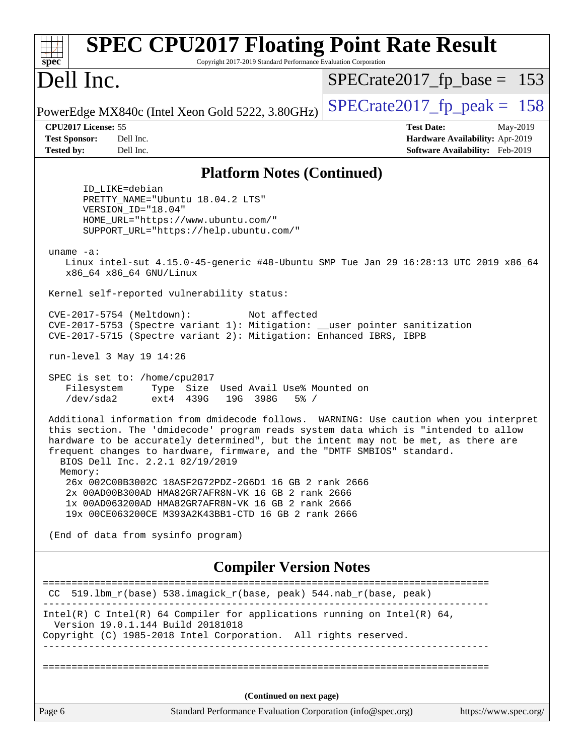| <b>SPEC CPU2017 Floating Point Rate Result</b><br>spec<br>Copyright 2017-2019 Standard Performance Evaluation Corporation                                                                                                                                                                                                                                                                    |                                                                                                     |
|----------------------------------------------------------------------------------------------------------------------------------------------------------------------------------------------------------------------------------------------------------------------------------------------------------------------------------------------------------------------------------------------|-----------------------------------------------------------------------------------------------------|
| Dell Inc.                                                                                                                                                                                                                                                                                                                                                                                    | $SPECrate2017_fp\_base = 153$                                                                       |
| PowerEdge MX840c (Intel Xeon Gold 5222, 3.80GHz)                                                                                                                                                                                                                                                                                                                                             | $SPECTate2017$ _fp_peak = 158                                                                       |
| CPU2017 License: 55<br><b>Test Sponsor:</b><br>Dell Inc.<br><b>Tested by:</b><br>Dell Inc.                                                                                                                                                                                                                                                                                                   | <b>Test Date:</b><br>May-2019<br>Hardware Availability: Apr-2019<br>Software Availability: Feb-2019 |
| <b>Platform Notes (Continued)</b>                                                                                                                                                                                                                                                                                                                                                            |                                                                                                     |
| ID LIKE=debian<br>PRETTY_NAME="Ubuntu 18.04.2 LTS"<br>VERSION_ID="18.04"<br>HOME_URL="https://www.ubuntu.com/"<br>SUPPORT_URL="https://help.ubuntu.com/"<br>uname $-a$ :                                                                                                                                                                                                                     |                                                                                                     |
| Linux intel-sut 4.15.0-45-generic #48-Ubuntu SMP Tue Jan 29 16:28:13 UTC 2019 x86_64<br>x86_64 x86_64 GNU/Linux                                                                                                                                                                                                                                                                              |                                                                                                     |
| Kernel self-reported vulnerability status:                                                                                                                                                                                                                                                                                                                                                   |                                                                                                     |
| CVE-2017-5754 (Meltdown):<br>Not affected<br>CVE-2017-5753 (Spectre variant 1): Mitigation: __user pointer sanitization<br>CVE-2017-5715 (Spectre variant 2): Mitigation: Enhanced IBRS, IBPB                                                                                                                                                                                                |                                                                                                     |
| run-level 3 May 19 14:26                                                                                                                                                                                                                                                                                                                                                                     |                                                                                                     |
| SPEC is set to: /home/cpu2017<br>Type Size Used Avail Use% Mounted on<br>Filesystem<br>/dev/sda2<br>19G 398G<br>ext4 439G<br>$5\%$ /                                                                                                                                                                                                                                                         |                                                                                                     |
| Additional information from dmidecode follows. WARNING: Use caution when you interpret<br>this section. The 'dmidecode' program reads system data which is "intended to allow<br>hardware to be accurately determined", but the intent may not be met, as there are<br>frequent changes to hardware, firmware, and the "DMTF SMBIOS" standard.<br>BIOS Dell Inc. 2.2.1 02/19/2019<br>Memory: |                                                                                                     |
| 26x 002C00B3002C 18ASF2G72PDZ-2G6D1 16 GB 2 rank 2666<br>2x 00AD00B300AD HMA82GR7AFR8N-VK 16 GB 2 rank 2666<br>1x 00AD063200AD HMA82GR7AFR8N-VK 16 GB 2 rank 2666<br>19x 00CE063200CE M393A2K43BB1-CTD 16 GB 2 rank 2666                                                                                                                                                                     |                                                                                                     |
| (End of data from sysinfo program)                                                                                                                                                                                                                                                                                                                                                           |                                                                                                     |
| <b>Compiler Version Notes</b>                                                                                                                                                                                                                                                                                                                                                                | ========================                                                                            |
| CC 519.1bm_r(base) 538.imagick_r(base, peak) 544.nab_r(base, peak)                                                                                                                                                                                                                                                                                                                           |                                                                                                     |
| Intel(R) C Intel(R) 64 Compiler for applications running on Intel(R) 64,<br>Version 19.0.1.144 Build 20181018<br>Copyright (C) 1985-2018 Intel Corporation. All rights reserved.                                                                                                                                                                                                             |                                                                                                     |
|                                                                                                                                                                                                                                                                                                                                                                                              |                                                                                                     |
| (Continued on next page)                                                                                                                                                                                                                                                                                                                                                                     |                                                                                                     |
| Page 6<br>Standard Performance Evaluation Corporation (info@spec.org)                                                                                                                                                                                                                                                                                                                        | https://www.spec.org/                                                                               |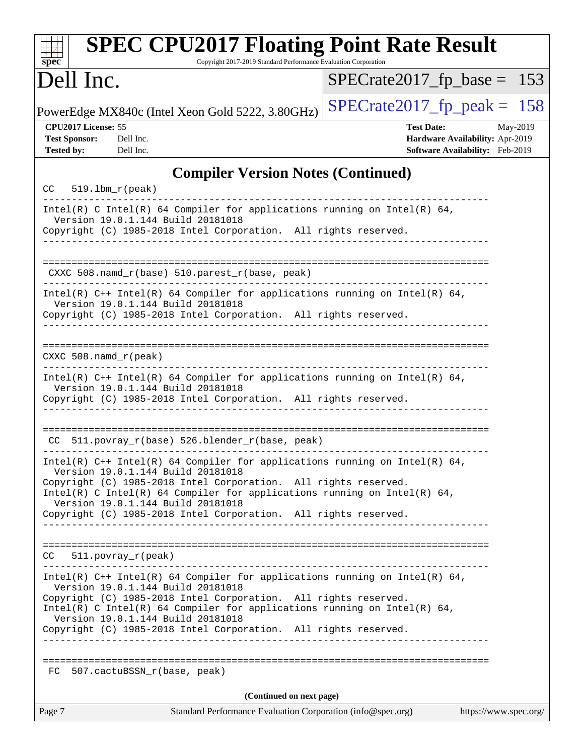| <b>SPEC CPU2017 Floating Point Rate Result</b><br>Copyright 2017-2019 Standard Performance Evaluation Corporation<br>spec <sup>®</sup>                                                                                                                                                                |                                                                                                     |
|-------------------------------------------------------------------------------------------------------------------------------------------------------------------------------------------------------------------------------------------------------------------------------------------------------|-----------------------------------------------------------------------------------------------------|
| Dell Inc.                                                                                                                                                                                                                                                                                             | $SPECrate2017_fp\_base = 153$                                                                       |
| PowerEdge MX840c (Intel Xeon Gold 5222, 3.80GHz)                                                                                                                                                                                                                                                      | $SPECrate2017_fp\_peak = 158$                                                                       |
| CPU2017 License: 55<br><b>Test Sponsor:</b><br>Dell Inc.<br><b>Tested by:</b><br>Dell Inc.                                                                                                                                                                                                            | <b>Test Date:</b><br>May-2019<br>Hardware Availability: Apr-2019<br>Software Availability: Feb-2019 |
| <b>Compiler Version Notes (Continued)</b>                                                                                                                                                                                                                                                             |                                                                                                     |
| $519.1bm_r(peak)$<br>CC                                                                                                                                                                                                                                                                               |                                                                                                     |
| Intel(R) C Intel(R) 64 Compiler for applications running on Intel(R) 64,<br>Version 19.0.1.144 Build 20181018<br>Copyright (C) 1985-2018 Intel Corporation. All rights reserved.<br>__________________________                                                                                        |                                                                                                     |
| CXXC 508.namd_r(base) 510.parest_r(base, peak)                                                                                                                                                                                                                                                        |                                                                                                     |
| Intel(R) $C++$ Intel(R) 64 Compiler for applications running on Intel(R) 64,<br>Version 19.0.1.144 Build 20181018<br>Copyright (C) 1985-2018 Intel Corporation. All rights reserved.                                                                                                                  |                                                                                                     |
| $CXXC 508.namd_r (peak)$                                                                                                                                                                                                                                                                              |                                                                                                     |
| Intel(R) $C++$ Intel(R) 64 Compiler for applications running on Intel(R) 64,<br>Version 19.0.1.144 Build 20181018<br>Copyright (C) 1985-2018 Intel Corporation. All rights reserved.                                                                                                                  |                                                                                                     |
| 511.povray_r(base) 526.blender_r(base, peak)                                                                                                                                                                                                                                                          |                                                                                                     |
| Intel(R) $C++$ Intel(R) 64 Compiler for applications running on Intel(R) 64,<br>Version 19.0.1.144 Build 20181018<br>Copyright (C) 1985-2018 Intel Corporation. All rights reserved.<br>Intel(R) C Intel(R) 64 Compiler for applications running on Intel(R) 64,<br>Version 19.0.1.144 Build 20181018 |                                                                                                     |
| Copyright (C) 1985-2018 Intel Corporation. All rights reserved.                                                                                                                                                                                                                                       |                                                                                                     |
| $CC = 511. povray_r (peak)$                                                                                                                                                                                                                                                                           |                                                                                                     |
| Intel(R) $C++$ Intel(R) 64 Compiler for applications running on Intel(R) 64,<br>Version 19.0.1.144 Build 20181018<br>Copyright (C) 1985-2018 Intel Corporation. All rights reserved.                                                                                                                  |                                                                                                     |
| Intel(R) C Intel(R) 64 Compiler for applications running on Intel(R) 64,<br>Version 19.0.1.144 Build 20181018<br>Copyright (C) 1985-2018 Intel Corporation. All rights reserved.                                                                                                                      |                                                                                                     |
|                                                                                                                                                                                                                                                                                                       |                                                                                                     |
| FC 507.cactuBSSN_r(base, peak)                                                                                                                                                                                                                                                                        |                                                                                                     |
| (Continued on next page)                                                                                                                                                                                                                                                                              |                                                                                                     |
| Page 7<br>Standard Performance Evaluation Corporation (info@spec.org)                                                                                                                                                                                                                                 | https://www.spec.org/                                                                               |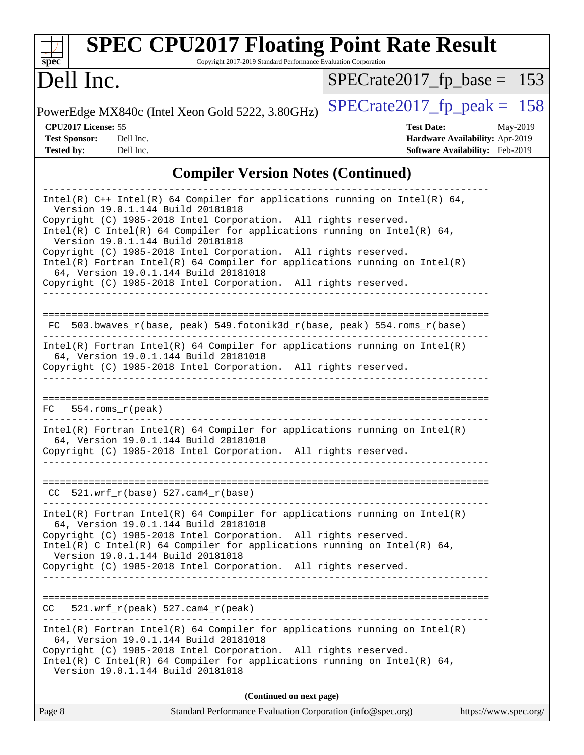| <b>SPEC CPU2017 Floating Point Rate Result</b><br>Copyright 2017-2019 Standard Performance Evaluation Corporation<br>spec <sup>®</sup>                                                                                                                                                                                                                                                                                                                                                                                                                             |                                                                                                     |
|--------------------------------------------------------------------------------------------------------------------------------------------------------------------------------------------------------------------------------------------------------------------------------------------------------------------------------------------------------------------------------------------------------------------------------------------------------------------------------------------------------------------------------------------------------------------|-----------------------------------------------------------------------------------------------------|
| Dell Inc.                                                                                                                                                                                                                                                                                                                                                                                                                                                                                                                                                          | $SPECrate2017_fp\_base = 153$                                                                       |
| PowerEdge MX840c (Intel Xeon Gold 5222, 3.80GHz)                                                                                                                                                                                                                                                                                                                                                                                                                                                                                                                   | $SPECrate2017_fp\_peak = 158$                                                                       |
| CPU2017 License: 55<br><b>Test Sponsor:</b><br>Dell Inc.<br><b>Tested by:</b><br>Dell Inc.                                                                                                                                                                                                                                                                                                                                                                                                                                                                         | <b>Test Date:</b><br>May-2019<br>Hardware Availability: Apr-2019<br>Software Availability: Feb-2019 |
| <b>Compiler Version Notes (Continued)</b>                                                                                                                                                                                                                                                                                                                                                                                                                                                                                                                          |                                                                                                     |
| Intel(R) $C++$ Intel(R) 64 Compiler for applications running on Intel(R) 64,<br>Version 19.0.1.144 Build 20181018<br>Copyright (C) 1985-2018 Intel Corporation. All rights reserved.<br>Intel(R) C Intel(R) 64 Compiler for applications running on Intel(R) 64,<br>Version 19.0.1.144 Build 20181018<br>Copyright (C) 1985-2018 Intel Corporation. All rights reserved.<br>Intel(R) Fortran Intel(R) 64 Compiler for applications running on Intel(R)<br>64, Version 19.0.1.144 Build 20181018<br>Copyright (C) 1985-2018 Intel Corporation. All rights reserved. |                                                                                                     |
| 503.bwaves_r(base, peak) 549.fotonik3d_r(base, peak) 554.roms_r(base)<br>FC.<br>$Intel(R)$ Fortran Intel(R) 64 Compiler for applications running on Intel(R)<br>64, Version 19.0.1.144 Build 20181018<br>Copyright (C) 1985-2018 Intel Corporation. All rights reserved.<br>$554$ .roms $r$ (peak)<br>FC.                                                                                                                                                                                                                                                          |                                                                                                     |
| $Intel(R)$ Fortran Intel(R) 64 Compiler for applications running on Intel(R)<br>64, Version 19.0.1.144 Build 20181018<br>Copyright (C) 1985-2018 Intel Corporation. All rights reserved.                                                                                                                                                                                                                                                                                                                                                                           |                                                                                                     |
| $CC$ 521.wrf_r(base) 527.cam4_r(base)<br>Intel(R) Fortran Intel(R) 64 Compiler for applications running on Intel(R)<br>64, Version 19.0.1.144 Build 20181018<br>Copyright (C) 1985-2018 Intel Corporation. All rights reserved.<br>Intel(R) C Intel(R) 64 Compiler for applications running on Intel(R) 64,                                                                                                                                                                                                                                                        |                                                                                                     |
| Version 19.0.1.144 Build 20181018<br>Copyright (C) 1985-2018 Intel Corporation. All rights reserved.                                                                                                                                                                                                                                                                                                                                                                                                                                                               |                                                                                                     |
| $521.wrf_r(peak) 527.cam4_r(peak)$<br>CC.<br>Intel(R) Fortran Intel(R) 64 Compiler for applications running on Intel(R)<br>64, Version 19.0.1.144 Build 20181018<br>Copyright (C) 1985-2018 Intel Corporation. All rights reserved.<br>Intel(R) C Intel(R) 64 Compiler for applications running on Intel(R) 64,<br>Version 19.0.1.144 Build 20181018                                                                                                                                                                                                               |                                                                                                     |
| (Continued on next page)                                                                                                                                                                                                                                                                                                                                                                                                                                                                                                                                           |                                                                                                     |

| Page 8 | Standard Performance Evaluation Corporation (info@spec.org) | https://www.spec.org/ |
|--------|-------------------------------------------------------------|-----------------------|
|        |                                                             |                       |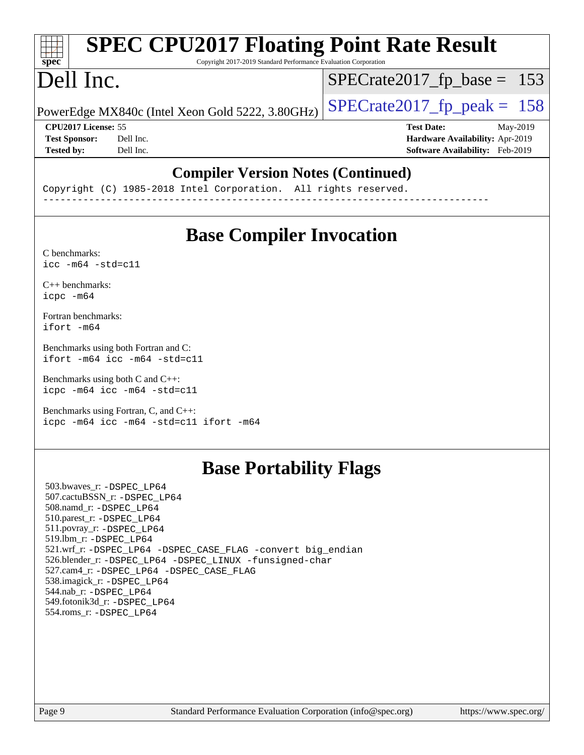#### **[SPEC CPU2017 Floating Point Rate Result](http://www.spec.org/auto/cpu2017/Docs/result-fields.html#SPECCPU2017FloatingPointRateResult)**  $+\ +$ **[spec](http://www.spec.org/)** Copyright 2017-2019 Standard Performance Evaluation Corporation Dell Inc. [SPECrate2017\\_fp\\_base =](http://www.spec.org/auto/cpu2017/Docs/result-fields.html#SPECrate2017fpbase) 153 PowerEdge MX840c (Intel Xeon Gold 5222, 3.80GHz)  $\left|$  [SPECrate2017\\_fp\\_peak =](http://www.spec.org/auto/cpu2017/Docs/result-fields.html#SPECrate2017fppeak) 158 **[CPU2017 License:](http://www.spec.org/auto/cpu2017/Docs/result-fields.html#CPU2017License)** 55 **[Test Date:](http://www.spec.org/auto/cpu2017/Docs/result-fields.html#TestDate)** May-2019 **[Test Sponsor:](http://www.spec.org/auto/cpu2017/Docs/result-fields.html#TestSponsor)** Dell Inc. **[Hardware Availability:](http://www.spec.org/auto/cpu2017/Docs/result-fields.html#HardwareAvailability)** Apr-2019 **[Tested by:](http://www.spec.org/auto/cpu2017/Docs/result-fields.html#Testedby)** Dell Inc. **[Software Availability:](http://www.spec.org/auto/cpu2017/Docs/result-fields.html#SoftwareAvailability)** Feb-2019

### **[Compiler Version Notes \(Continued\)](http://www.spec.org/auto/cpu2017/Docs/result-fields.html#CompilerVersionNotes)**

Copyright (C) 1985-2018 Intel Corporation. All rights reserved. ------------------------------------------------------------------------------

## **[Base Compiler Invocation](http://www.spec.org/auto/cpu2017/Docs/result-fields.html#BaseCompilerInvocation)**

[C benchmarks](http://www.spec.org/auto/cpu2017/Docs/result-fields.html#Cbenchmarks): [icc -m64 -std=c11](http://www.spec.org/cpu2017/results/res2019q3/cpu2017-20190624-15410.flags.html#user_CCbase_intel_icc_64bit_c11_33ee0cdaae7deeeab2a9725423ba97205ce30f63b9926c2519791662299b76a0318f32ddfffdc46587804de3178b4f9328c46fa7c2b0cd779d7a61945c91cd35)

[C++ benchmarks:](http://www.spec.org/auto/cpu2017/Docs/result-fields.html#CXXbenchmarks) [icpc -m64](http://www.spec.org/cpu2017/results/res2019q3/cpu2017-20190624-15410.flags.html#user_CXXbase_intel_icpc_64bit_4ecb2543ae3f1412ef961e0650ca070fec7b7afdcd6ed48761b84423119d1bf6bdf5cad15b44d48e7256388bc77273b966e5eb805aefd121eb22e9299b2ec9d9)

[Fortran benchmarks](http://www.spec.org/auto/cpu2017/Docs/result-fields.html#Fortranbenchmarks): [ifort -m64](http://www.spec.org/cpu2017/results/res2019q3/cpu2017-20190624-15410.flags.html#user_FCbase_intel_ifort_64bit_24f2bb282fbaeffd6157abe4f878425411749daecae9a33200eee2bee2fe76f3b89351d69a8130dd5949958ce389cf37ff59a95e7a40d588e8d3a57e0c3fd751)

[Benchmarks using both Fortran and C](http://www.spec.org/auto/cpu2017/Docs/result-fields.html#BenchmarksusingbothFortranandC): [ifort -m64](http://www.spec.org/cpu2017/results/res2019q3/cpu2017-20190624-15410.flags.html#user_CC_FCbase_intel_ifort_64bit_24f2bb282fbaeffd6157abe4f878425411749daecae9a33200eee2bee2fe76f3b89351d69a8130dd5949958ce389cf37ff59a95e7a40d588e8d3a57e0c3fd751) [icc -m64 -std=c11](http://www.spec.org/cpu2017/results/res2019q3/cpu2017-20190624-15410.flags.html#user_CC_FCbase_intel_icc_64bit_c11_33ee0cdaae7deeeab2a9725423ba97205ce30f63b9926c2519791662299b76a0318f32ddfffdc46587804de3178b4f9328c46fa7c2b0cd779d7a61945c91cd35)

[Benchmarks using both C and C++](http://www.spec.org/auto/cpu2017/Docs/result-fields.html#BenchmarksusingbothCandCXX): [icpc -m64](http://www.spec.org/cpu2017/results/res2019q3/cpu2017-20190624-15410.flags.html#user_CC_CXXbase_intel_icpc_64bit_4ecb2543ae3f1412ef961e0650ca070fec7b7afdcd6ed48761b84423119d1bf6bdf5cad15b44d48e7256388bc77273b966e5eb805aefd121eb22e9299b2ec9d9) [icc -m64 -std=c11](http://www.spec.org/cpu2017/results/res2019q3/cpu2017-20190624-15410.flags.html#user_CC_CXXbase_intel_icc_64bit_c11_33ee0cdaae7deeeab2a9725423ba97205ce30f63b9926c2519791662299b76a0318f32ddfffdc46587804de3178b4f9328c46fa7c2b0cd779d7a61945c91cd35)

[Benchmarks using Fortran, C, and C++:](http://www.spec.org/auto/cpu2017/Docs/result-fields.html#BenchmarksusingFortranCandCXX) [icpc -m64](http://www.spec.org/cpu2017/results/res2019q3/cpu2017-20190624-15410.flags.html#user_CC_CXX_FCbase_intel_icpc_64bit_4ecb2543ae3f1412ef961e0650ca070fec7b7afdcd6ed48761b84423119d1bf6bdf5cad15b44d48e7256388bc77273b966e5eb805aefd121eb22e9299b2ec9d9) [icc -m64 -std=c11](http://www.spec.org/cpu2017/results/res2019q3/cpu2017-20190624-15410.flags.html#user_CC_CXX_FCbase_intel_icc_64bit_c11_33ee0cdaae7deeeab2a9725423ba97205ce30f63b9926c2519791662299b76a0318f32ddfffdc46587804de3178b4f9328c46fa7c2b0cd779d7a61945c91cd35) [ifort -m64](http://www.spec.org/cpu2017/results/res2019q3/cpu2017-20190624-15410.flags.html#user_CC_CXX_FCbase_intel_ifort_64bit_24f2bb282fbaeffd6157abe4f878425411749daecae9a33200eee2bee2fe76f3b89351d69a8130dd5949958ce389cf37ff59a95e7a40d588e8d3a57e0c3fd751)

### **[Base Portability Flags](http://www.spec.org/auto/cpu2017/Docs/result-fields.html#BasePortabilityFlags)**

 503.bwaves\_r: [-DSPEC\\_LP64](http://www.spec.org/cpu2017/results/res2019q3/cpu2017-20190624-15410.flags.html#suite_basePORTABILITY503_bwaves_r_DSPEC_LP64) 507.cactuBSSN\_r: [-DSPEC\\_LP64](http://www.spec.org/cpu2017/results/res2019q3/cpu2017-20190624-15410.flags.html#suite_basePORTABILITY507_cactuBSSN_r_DSPEC_LP64) 508.namd\_r: [-DSPEC\\_LP64](http://www.spec.org/cpu2017/results/res2019q3/cpu2017-20190624-15410.flags.html#suite_basePORTABILITY508_namd_r_DSPEC_LP64) 510.parest\_r: [-DSPEC\\_LP64](http://www.spec.org/cpu2017/results/res2019q3/cpu2017-20190624-15410.flags.html#suite_basePORTABILITY510_parest_r_DSPEC_LP64) 511.povray\_r: [-DSPEC\\_LP64](http://www.spec.org/cpu2017/results/res2019q3/cpu2017-20190624-15410.flags.html#suite_basePORTABILITY511_povray_r_DSPEC_LP64) 519.lbm\_r: [-DSPEC\\_LP64](http://www.spec.org/cpu2017/results/res2019q3/cpu2017-20190624-15410.flags.html#suite_basePORTABILITY519_lbm_r_DSPEC_LP64) 521.wrf\_r: [-DSPEC\\_LP64](http://www.spec.org/cpu2017/results/res2019q3/cpu2017-20190624-15410.flags.html#suite_basePORTABILITY521_wrf_r_DSPEC_LP64) [-DSPEC\\_CASE\\_FLAG](http://www.spec.org/cpu2017/results/res2019q3/cpu2017-20190624-15410.flags.html#b521.wrf_r_baseCPORTABILITY_DSPEC_CASE_FLAG) [-convert big\\_endian](http://www.spec.org/cpu2017/results/res2019q3/cpu2017-20190624-15410.flags.html#user_baseFPORTABILITY521_wrf_r_convert_big_endian_c3194028bc08c63ac5d04de18c48ce6d347e4e562e8892b8bdbdc0214820426deb8554edfa529a3fb25a586e65a3d812c835984020483e7e73212c4d31a38223) 526.blender\_r: [-DSPEC\\_LP64](http://www.spec.org/cpu2017/results/res2019q3/cpu2017-20190624-15410.flags.html#suite_basePORTABILITY526_blender_r_DSPEC_LP64) [-DSPEC\\_LINUX](http://www.spec.org/cpu2017/results/res2019q3/cpu2017-20190624-15410.flags.html#b526.blender_r_baseCPORTABILITY_DSPEC_LINUX) [-funsigned-char](http://www.spec.org/cpu2017/results/res2019q3/cpu2017-20190624-15410.flags.html#user_baseCPORTABILITY526_blender_r_force_uchar_40c60f00ab013830e2dd6774aeded3ff59883ba5a1fc5fc14077f794d777847726e2a5858cbc7672e36e1b067e7e5c1d9a74f7176df07886a243d7cc18edfe67) 527.cam4\_r: [-DSPEC\\_LP64](http://www.spec.org/cpu2017/results/res2019q3/cpu2017-20190624-15410.flags.html#suite_basePORTABILITY527_cam4_r_DSPEC_LP64) [-DSPEC\\_CASE\\_FLAG](http://www.spec.org/cpu2017/results/res2019q3/cpu2017-20190624-15410.flags.html#b527.cam4_r_baseCPORTABILITY_DSPEC_CASE_FLAG) 538.imagick\_r: [-DSPEC\\_LP64](http://www.spec.org/cpu2017/results/res2019q3/cpu2017-20190624-15410.flags.html#suite_basePORTABILITY538_imagick_r_DSPEC_LP64) 544.nab\_r: [-DSPEC\\_LP64](http://www.spec.org/cpu2017/results/res2019q3/cpu2017-20190624-15410.flags.html#suite_basePORTABILITY544_nab_r_DSPEC_LP64) 549.fotonik3d\_r: [-DSPEC\\_LP64](http://www.spec.org/cpu2017/results/res2019q3/cpu2017-20190624-15410.flags.html#suite_basePORTABILITY549_fotonik3d_r_DSPEC_LP64) 554.roms\_r: [-DSPEC\\_LP64](http://www.spec.org/cpu2017/results/res2019q3/cpu2017-20190624-15410.flags.html#suite_basePORTABILITY554_roms_r_DSPEC_LP64)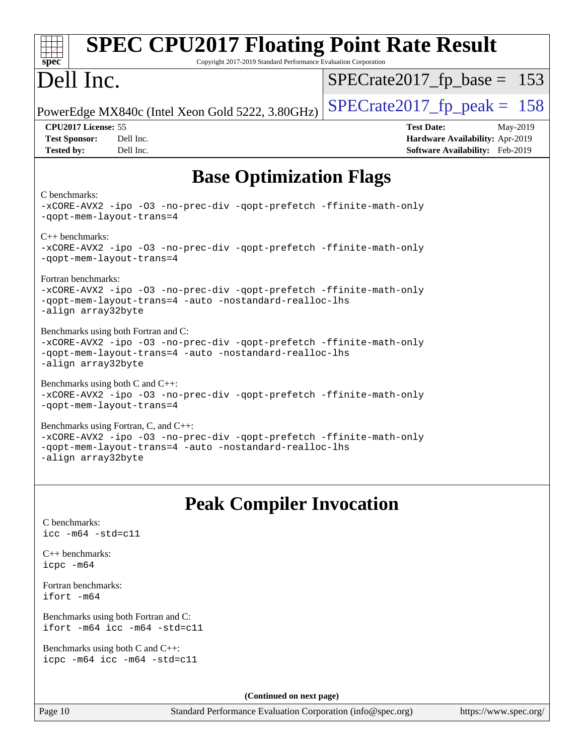| <b>SPEC CPU2017 Floating Point Rate Result</b><br>spec <sup>®</sup><br>Copyright 2017-2019 Standard Performance Evaluation Corporation                                                       |                                                                                                     |
|----------------------------------------------------------------------------------------------------------------------------------------------------------------------------------------------|-----------------------------------------------------------------------------------------------------|
| Dell Inc.                                                                                                                                                                                    | $SPECrate2017_fp\_base = 153$                                                                       |
| PowerEdge MX840c (Intel Xeon Gold 5222, 3.80GHz)                                                                                                                                             | $SPECrate2017fp peak = 158$                                                                         |
| CPU2017 License: 55<br><b>Test Sponsor:</b><br>Dell Inc.<br><b>Tested by:</b><br>Dell Inc.                                                                                                   | <b>Test Date:</b><br>May-2019<br>Hardware Availability: Apr-2019<br>Software Availability: Feb-2019 |
| <b>Base Optimization Flags</b>                                                                                                                                                               |                                                                                                     |
| C benchmarks:<br>-xCORE-AVX2 -ipo -03 -no-prec-div -qopt-prefetch -ffinite-math-only<br>-qopt-mem-layout-trans=4                                                                             |                                                                                                     |
| $C_{++}$ benchmarks:<br>-xCORE-AVX2 -ipo -03 -no-prec-div -qopt-prefetch -ffinite-math-only<br>-qopt-mem-layout-trans=4                                                                      |                                                                                                     |
| Fortran benchmarks:<br>-xCORE-AVX2 -ipo -03 -no-prec-div -qopt-prefetch -ffinite-math-only<br>-qopt-mem-layout-trans=4 -auto -nostandard-realloc-lhs<br>-align array32byte                   |                                                                                                     |
| Benchmarks using both Fortran and C:<br>-xCORE-AVX2 -ipo -03 -no-prec-div -qopt-prefetch -ffinite-math-only<br>-qopt-mem-layout-trans=4 -auto -nostandard-realloc-lhs<br>-align array32byte  |                                                                                                     |
| Benchmarks using both C and C++:<br>-xCORE-AVX2 -ipo -03 -no-prec-div -qopt-prefetch -ffinite-math-only<br>-qopt-mem-layout-trans=4                                                          |                                                                                                     |
| Benchmarks using Fortran, C, and C++:<br>-xCORE-AVX2 -ipo -03 -no-prec-div -qopt-prefetch -ffinite-math-only<br>-qopt-mem-layout-trans=4 -auto -nostandard-realloc-lhs<br>-align array32byte |                                                                                                     |
| <b>Peak Compiler Invocation</b>                                                                                                                                                              |                                                                                                     |
| C benchmarks:<br>$\text{icc}$ -m64 -std=c11                                                                                                                                                  |                                                                                                     |
| $C_{++}$ benchmarks:<br>icpc -m64                                                                                                                                                            |                                                                                                     |
| Fortran benchmarks:<br>ifort -m64                                                                                                                                                            |                                                                                                     |
| Benchmarks using both Fortran and C:<br>ifort -m64 icc -m64 -std=c11                                                                                                                         |                                                                                                     |
| Benchmarks using both $C$ and $C_{++}$ :<br>icpc -m64 icc -m64 -std=c11                                                                                                                      |                                                                                                     |
| (Continued on next page)                                                                                                                                                                     |                                                                                                     |

Page 10 Standard Performance Evaluation Corporation [\(info@spec.org\)](mailto:info@spec.org) <https://www.spec.org/>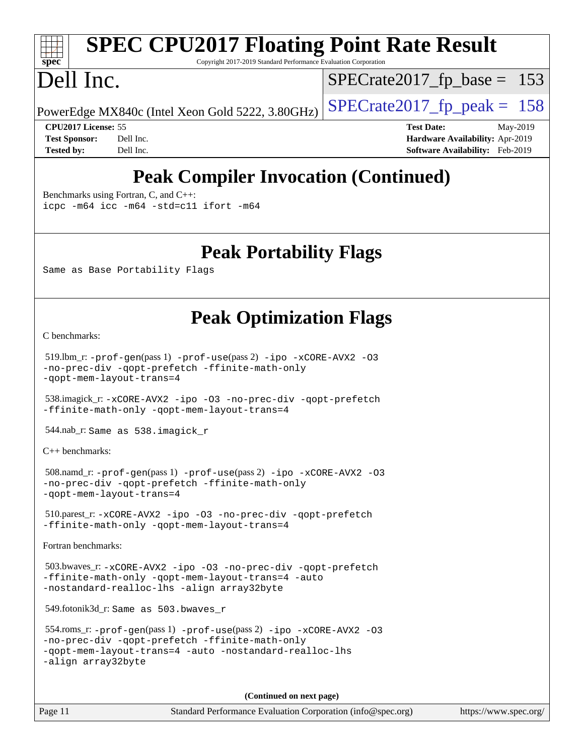# **[spec](http://www.spec.org/)**

# **[SPEC CPU2017 Floating Point Rate Result](http://www.spec.org/auto/cpu2017/Docs/result-fields.html#SPECCPU2017FloatingPointRateResult)**

Copyright 2017-2019 Standard Performance Evaluation Corporation

# Dell Inc.

[SPECrate2017\\_fp\\_base =](http://www.spec.org/auto/cpu2017/Docs/result-fields.html#SPECrate2017fpbase) 153

PowerEdge MX840c (Intel Xeon Gold 5222, 3.80GHz)  $\left|$  [SPECrate2017\\_fp\\_peak =](http://www.spec.org/auto/cpu2017/Docs/result-fields.html#SPECrate2017fppeak) 158

**[CPU2017 License:](http://www.spec.org/auto/cpu2017/Docs/result-fields.html#CPU2017License)** 55 **[Test Date:](http://www.spec.org/auto/cpu2017/Docs/result-fields.html#TestDate)** May-2019 **[Test Sponsor:](http://www.spec.org/auto/cpu2017/Docs/result-fields.html#TestSponsor)** Dell Inc. **[Hardware Availability:](http://www.spec.org/auto/cpu2017/Docs/result-fields.html#HardwareAvailability)** Apr-2019 **[Tested by:](http://www.spec.org/auto/cpu2017/Docs/result-fields.html#Testedby)** Dell Inc. **[Software Availability:](http://www.spec.org/auto/cpu2017/Docs/result-fields.html#SoftwareAvailability)** Feb-2019

# **[Peak Compiler Invocation \(Continued\)](http://www.spec.org/auto/cpu2017/Docs/result-fields.html#PeakCompilerInvocation)**

[Benchmarks using Fortran, C, and C++:](http://www.spec.org/auto/cpu2017/Docs/result-fields.html#BenchmarksusingFortranCandCXX)

[icpc -m64](http://www.spec.org/cpu2017/results/res2019q3/cpu2017-20190624-15410.flags.html#user_CC_CXX_FCpeak_intel_icpc_64bit_4ecb2543ae3f1412ef961e0650ca070fec7b7afdcd6ed48761b84423119d1bf6bdf5cad15b44d48e7256388bc77273b966e5eb805aefd121eb22e9299b2ec9d9) [icc -m64 -std=c11](http://www.spec.org/cpu2017/results/res2019q3/cpu2017-20190624-15410.flags.html#user_CC_CXX_FCpeak_intel_icc_64bit_c11_33ee0cdaae7deeeab2a9725423ba97205ce30f63b9926c2519791662299b76a0318f32ddfffdc46587804de3178b4f9328c46fa7c2b0cd779d7a61945c91cd35) [ifort -m64](http://www.spec.org/cpu2017/results/res2019q3/cpu2017-20190624-15410.flags.html#user_CC_CXX_FCpeak_intel_ifort_64bit_24f2bb282fbaeffd6157abe4f878425411749daecae9a33200eee2bee2fe76f3b89351d69a8130dd5949958ce389cf37ff59a95e7a40d588e8d3a57e0c3fd751)

### **[Peak Portability Flags](http://www.spec.org/auto/cpu2017/Docs/result-fields.html#PeakPortabilityFlags)**

Same as Base Portability Flags

## **[Peak Optimization Flags](http://www.spec.org/auto/cpu2017/Docs/result-fields.html#PeakOptimizationFlags)**

[C benchmarks](http://www.spec.org/auto/cpu2017/Docs/result-fields.html#Cbenchmarks):

```
 519.lbm_r: -prof-gen(pass 1) -prof-use(pass 2) -ipo -xCORE-AVX2 -O3
-no-prec-div -qopt-prefetch -ffinite-math-only
-qopt-mem-layout-trans=4
```
 538.imagick\_r: [-xCORE-AVX2](http://www.spec.org/cpu2017/results/res2019q3/cpu2017-20190624-15410.flags.html#user_peakCOPTIMIZE538_imagick_r_f-xCORE-AVX2) [-ipo](http://www.spec.org/cpu2017/results/res2019q3/cpu2017-20190624-15410.flags.html#user_peakCOPTIMIZE538_imagick_r_f-ipo) [-O3](http://www.spec.org/cpu2017/results/res2019q3/cpu2017-20190624-15410.flags.html#user_peakCOPTIMIZE538_imagick_r_f-O3) [-no-prec-div](http://www.spec.org/cpu2017/results/res2019q3/cpu2017-20190624-15410.flags.html#user_peakCOPTIMIZE538_imagick_r_f-no-prec-div) [-qopt-prefetch](http://www.spec.org/cpu2017/results/res2019q3/cpu2017-20190624-15410.flags.html#user_peakCOPTIMIZE538_imagick_r_f-qopt-prefetch) [-ffinite-math-only](http://www.spec.org/cpu2017/results/res2019q3/cpu2017-20190624-15410.flags.html#user_peakCOPTIMIZE538_imagick_r_f_finite_math_only_cb91587bd2077682c4b38af759c288ed7c732db004271a9512da14a4f8007909a5f1427ecbf1a0fb78ff2a814402c6114ac565ca162485bbcae155b5e4258871) [-qopt-mem-layout-trans=4](http://www.spec.org/cpu2017/results/res2019q3/cpu2017-20190624-15410.flags.html#user_peakCOPTIMIZE538_imagick_r_f-qopt-mem-layout-trans_fa39e755916c150a61361b7846f310bcdf6f04e385ef281cadf3647acec3f0ae266d1a1d22d972a7087a248fd4e6ca390a3634700869573d231a252c784941a8)

544.nab\_r: Same as 538.imagick\_r

[C++ benchmarks:](http://www.spec.org/auto/cpu2017/Docs/result-fields.html#CXXbenchmarks)

```
 508.namd_r: -prof-gen(pass 1) -prof-use(pass 2) -ipo -xCORE-AVX2 -O3
-no-prec-div -qopt-prefetch -ffinite-math-only
-qopt-mem-layout-trans=4
```

```
 510.parest_r: -xCORE-AVX2 -ipo -O3 -no-prec-div -qopt-prefetch
-ffinite-math-only -qopt-mem-layout-trans=4
```
[Fortran benchmarks](http://www.spec.org/auto/cpu2017/Docs/result-fields.html#Fortranbenchmarks):

```
 503.bwaves_r: -xCORE-AVX2 -ipo -O3 -no-prec-div -qopt-prefetch
-ffinite-math-only -qopt-mem-layout-trans=4 -auto
-nostandard-realloc-lhs -align array32byte
```
549.fotonik3d\_r: Same as 503.bwaves\_r

```
 554.roms_r: -prof-gen(pass 1) -prof-use(pass 2) -ipo -xCORE-AVX2 -O3
-no-prec-div -qopt-prefetch -ffinite-math-only
-qopt-mem-layout-trans=4 -auto -nostandard-realloc-lhs
-align array32byte
```
**(Continued on next page)**